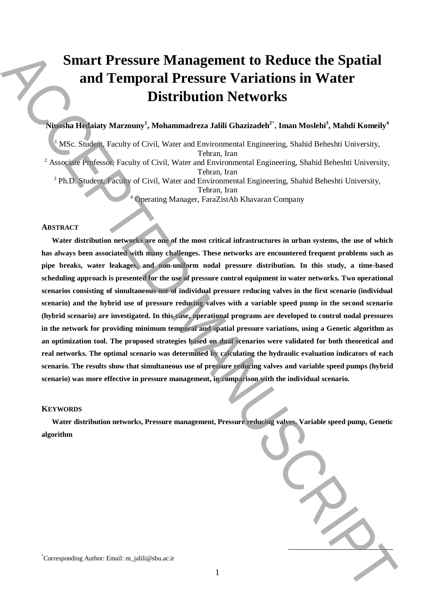# **Smart Pressure Management to Reduce the Spatial and Temporal Pressure Variations in Water Distribution Networks**

# **Niuosha Hedaiaty Marzouny<sup>1</sup> , Mohammadreza Jalili Ghazizadeh<sup>2</sup>\* , Iman Moslehi<sup>3</sup> , Mahdi Komeily<sup>4</sup>**

 $<sup>1</sup>$  MSc. Student, Faculty of Civil, Water and Environmental Engineering, Shahid Beheshti University,</sup> Tehran, Iran <sup>2</sup> Associate Professor, Faculty of Civil, Water and Environmental Engineering, Shahid Beheshti University, Tehran, Iran <sup>3</sup> Ph.D. Student, Faculty of Civil, Water and Environmental Engineering, Shahid Beheshti University, Tehran, Iran <sup>4</sup> Operating Manager, FaraZistAb Khavaran Company

#### **ABSTRACT**

**Water distribution networks are one of the most critical infrastructures in urban systems, the use of which has always been associated with many challenges. These networks are encountered frequent problems such as pipe breaks, water leakages, and non-uniform nodal pressure distribution. In this study, a time-based scheduling approach is presented for the use of pressure control equipment in water networks. Two operational scenarios consisting of simultaneous use of individual pressure reducing valves in the first scenario (individual scenario) and the hybrid use of pressure reducing valves with a variable speed pump in the second scenario (hybrid scenario) are investigated. In this case, operational programs are developed to control nodal pressures in the network for providing minimum temporal and spatial pressure variations, using a Genetic algorithm as an optimization tool. The proposed strategies based on dual scenarios were validated for both theoretical and real networks. The optimal scenario was determined by calculating the hydraulic evaluation indicators of each scenario. The results show that simultaneous use of pressure reducing valves and variable speed pumps (hybrid scenario) was more effective in pressure management, in comparison with the individual scenario.** Simart Pressure Management to Reduce the Spatial<br>
and Temporal Pressure Variations in Water<br>
(Also and The Howard Automatic and Holomotic and Holomotic and Holomotic and Holomotic and Holomotic and Holomotic and Holomotic

#### **KEYWORDS**

**Water distribution networks, Pressure management, Pressure reducing valves, Variable speed pump, Genetic algorithm**

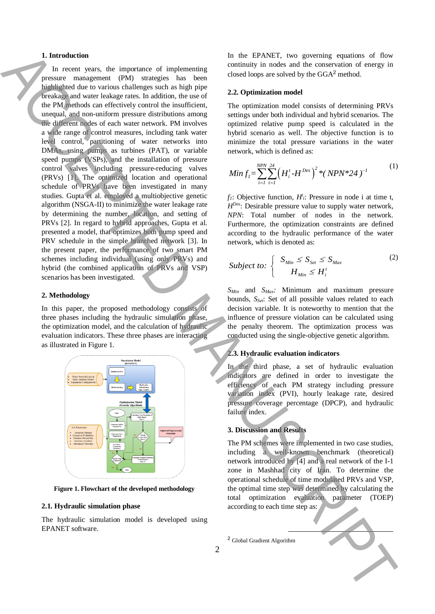## **1. Introduction**

In recent years, the importance of implementing pressure management (PM) strategies has been highlighted due to various challenges such as high pipe breakage and water leakage rates. In addition, the use of the PM methods can effectively control the insufficient, unequal, and non-uniform pressure distributions among the different nodes of each water network. PM involves a wide range of control measures, including tank water level control, partitioning of water networks into DMAs, using pumps as turbines (PAT), or variable speed pumps (VSPs), and the installation of pressure control valves including pressure-reducing valves (PRVs) [1]. The optimized location and operational schedule of PRVs have been investigated in many studies. Gupta et al. employed a multiobjective genetic algorithm (NSGA-II) to minimize the water leakage rate by determining the number, location, and setting of PRVs [2]. In regard to hybrid approaches, Gupta et al. presented a model, that optimizes both pump speed and PRV schedule in the simple branched network [3]. In the present paper, the performance of two smart PM schemes including individual (using only PRVs) and hybrid (the combined application of PRVs and VSP) scenarios has been investigated. 1. Interded on the Control of Excelsion in the CNNT, two position of Energy is the CNNT of CNNT interded on the CNNT of CNNT interded on the CNNT of CNNT interded on the CNNT of CNNT interded on the CNNT of CNNT interded

## **2. Methodology**

In this paper, the proposed methodology consists of three phases including the hydraulic simulation phase, the optimization model, and the calculation of hydraulic evaluation indicators. These three phases are interacting as illustrated in Figure 1.



**Figure 1. Flowchart of the developed methodology**

## **2.1. Hydraulic simulation phase**

The hydraulic simulation model is developed using EPANET software.

In the EPANET, two governing equations of flow continuity in nodes and the conservation of energy in closed loops are solved by the GGA<sup>2</sup> method.

## **2.2. Optimization model**

The optimization model consists of determining PRVs settings under both individual and hybrid scenarios. The optimized relative pump speed is calculated in the hybrid scenario as well. The objective function is to minimize the total pressure variations in the water network, which is defined as:

Min 
$$
f_i = \sum_{i=1}^{NPN} \sum_{t=1}^{24} (H_i^t - H^{Des})^2 * (NPN^* 24)^{-1}
$$
 (1)

 $f_1$ : Objective function,  $H^t_i$ : Pressure in node i at time t, *HDes*: Desirable pressure value to supply water network, *NPN*: Total number of nodes in the network. Furthermore, the optimization constraints are defined according to the hydraulic performance of the water network, which is denoted as:

$$
Subject\ to:\n\begin{cases}\nS_{Min} \leq S_{Set} \leq S_{Max} \\
H_{Min} \leq H_i^t\n\end{cases}
$$
\n(2)

*SMin* and *SMax:* Minimum and maximum pressure bounds, *SSet*: Set of all possible values related to each decision variable. It is noteworthy to mention that the influence of pressure violation can be calculated using the penalty theorem. The optimization process was conducted using the single-objective genetic algorithm.

#### **2.3. Hydraulic evaluation indicators**

In the third phase, a set of hydraulic evaluation indicators are defined in order to investigate the efficiency of each PM strategy including pressure variation index (PVI), hourly leakage rate, desired pressure coverage percentage (DPCP), and hydraulic failure index.

#### **3. Discussion and Results**

The PM schemes were implemented in two case studies, including a well-known benchmark (theoretical) network introduced by [4] and a real network of the I-1 zone in Mashhad city of Iran. To determine the operational schedule of time modulated PRVs and VSP, the optimal time step was determined by calculating the total optimization evaluation parameter (TOEP) according to each time step as:



**.**